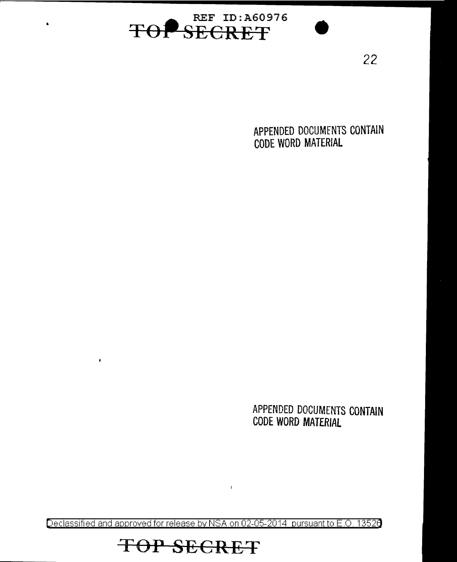

22

APPENDED DOCUMENTS CONTAIN CODE WORD MATERIAL

APPENDED DOCUMENTS CONTAIN CODE WORD MATERIAL

Declassified and approved for release by NSA on 02-05-2014 pursuant to E.O. 13526

 $\bar{1}$ 

## TOP SECRET

 $\pmb{\iota}$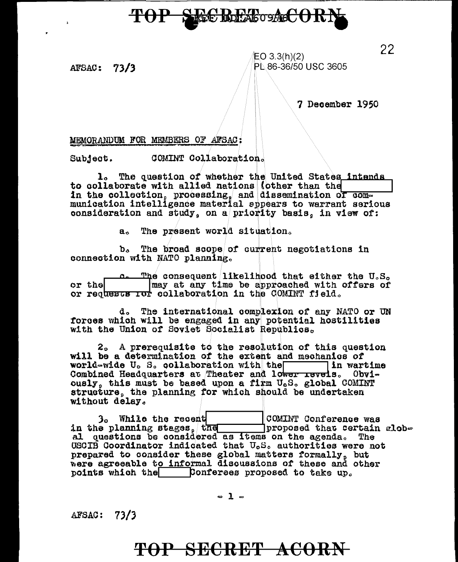# **EGROFAGOSAGCOR**

AFSAC: 73/3

EO 3.3(h)(2) PL 86-36/50 USC 3605

7 December 1950

#### MEMORANDUM FOR MEMBERS OF AFSAC:

COMINT Collaboration. Subject.

1. The question of whether the United States intends to collaborate with allied nations (other than the in the collection, processing, and dissemination of communication intelligence material appears to warrant serious consideration and study, on a priority basis, in view of:

a. The present world situation.

b. The broad scope of current negotiations in connection with NATO planning.

The consequent likelihood that either the  $U_{\circ}S_{\alpha}$ may at any time be approached with offers of or the or requests tor collaboration in the COMINT field.

d. The international complexion of any NATO or UN forces which will be engaged in any potential hostilities with the Union of Soviet Socialist Republics.

2. A prerequisite to the resolution of this question will be a determination of the extent and mechanics of world-wide U.S. collaboration with the lin wartime Combined Headquarters at Theater and lower revels. Obviously, this must be based upon a firm U.S. global COMINT structure, the planning for which should be undertaken without delay.

3. While the recent COMINT Conference was in the planning stages, the proposed that certain global questions be considered as items on the agenda. The USCIB Coordinator indicated that U.S. authorities were not prepared to consider these global matters formally, but were agreeable to informal discussions of these and other points which the Conferses proposed to take up.

 $-1-$ 

AFSAC: 73/3

### TOP SECRET ACORN

22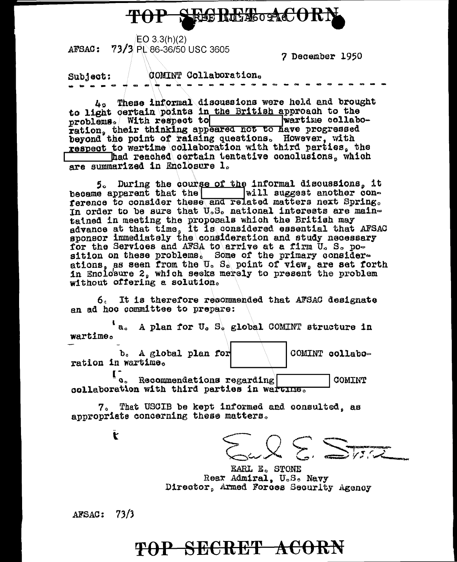

 $EO$  3.3(h)(2) AFSAC: 73/3 PL 86-36/50 USC 3605

7 December 1950

COMINT Collaboration. Subject:

 $L_2$  These informal discussions were held and brought to light certain points in the British approach to the problems. With respect to wartime collaboration, their thinking appeared not to have progressed<br>beyond the point of raising questions. However, with respect to wartime collaboration with third parties, the Thad reached certain tentative conclusions, which are summarized in Enclosure 1.

5. During the course of the informal discussions. it became apparent that the will suggest another conference to consider these and related matters next Spring. In order to be sure that  $U_sS_s$  national interests are maintained in meeting the proposals which the British may<br>advance at that time, it is considered essential that AFSAC<br>sponsor immediately the consideration and study necessary for the Services and AFSA to arrive at a firm U. S. position on these problems. Some of the primary considerations, as seen from the U. S. point of view, are set forth in Enclosure 2, which seeks merely to present the problem without offering a solution.

6. It is therefore recommended that AFSAC designate an ad hoc committee to prepare:

'a. A plan for U. S. global COMINT structure in wartime. b. A global plan for COMINT collaboration in wartime.

[. Recommendations regarding] COMINT collaboration with third parties in warting.

7. That USCIB be kept informed and consulted. as appropriate concerning these matters.

 $=\sqrt{2}\sum\sum_{i,j,k}$ 

EARL E. STONE Rear Admiral. U.S. Navy Director, Armed Forces Security Agency

 $AFSAC: 73/3$ 

 $\mathbf{r}$ 

### TOP SECRET ACORN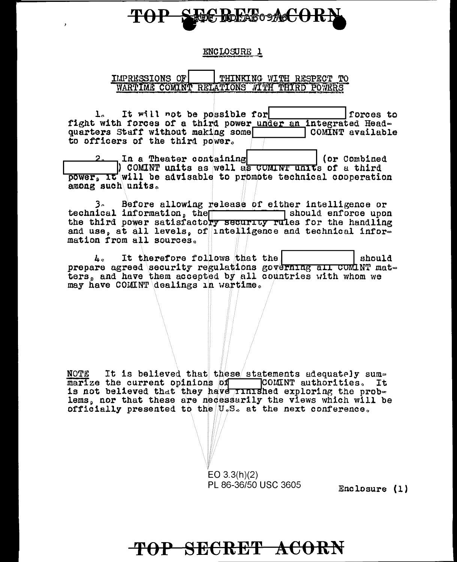# **TO REAGO ACORA**

#### ENCLOSURE 1

IMPRESSIONS OF THINKING WITH RESPECT TO WARTIME COMINT RELATIONS WITH THIRD POWERS

It will not be possible for forces to  $1<sub>n</sub>$ fight with forces of a third power under an integrated Headquarters Staff without making some COMINT available to officers of the third power.

 $2.$  In a Theater containing (or Combined)  $\vert$  COMINT units as well as COMINT units of a third power, it will be advisable to promote technical cooperation among such units.

Before allowing release of either intelligence or  $3<sub>n</sub>$ should enforce upon technical information, the security rules for the handling<br>the third power satisfactory security rules for the handling and use, at all levels, of intelligence and technical information from all sources.

It therefore follows that the should  $\mathbf{L}_{\alpha}$ prepare agreed security regulations governing all COMINT matters, and have them accepted by all countries with whom we may have COMINT dealings in wartime.

It is believed that these statements adequately sum-NOTE marize the current opinions of COMINT authorities. It is not believed that they have *rinished* exploring the problems, nor that these are necessarily the views which will be officially presented to the U.S. at the next conference.

> $EO 3.3(h)(2)$ PL 86-36/50 USC 3605

Enclosure (1)

### TOP SECRET ACORN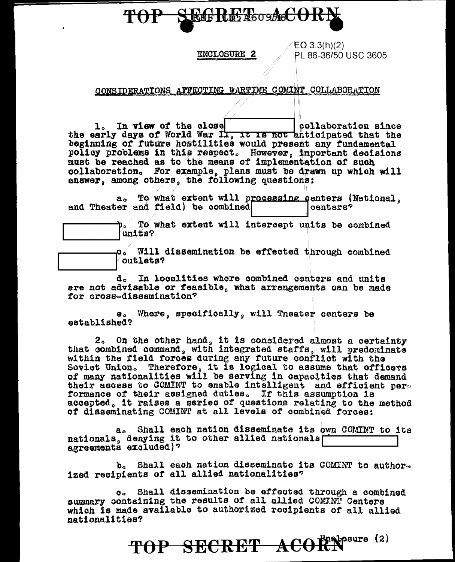#### **SEGRET**osAcCORN **TOP**

#### **ENCLOSURE 2**

 $EO 3.3(h)(2)$ PL 86-36/50 USC 3605

#### CONSIDERATIONS AFFECTING WARTIME COMINT COLLABORATION

1. In view of the close sollaboration since the early days of World War Il, it is not anticipated that the beginning of future hostilities would present any fundamental policy problems in this respect. However, important decisions must be reached as to the means of implementation of such collaboration. For example, plans must be drawn up which will answer, among others, the following questions:

To what extent will processing centers (National.  $a_{\alpha}$ and Theater and field) be combined oenters?

> To what extent will intercept units be combined units?

b.⁄

o. Will dissemination be effected through combined outlets?

d. In localities where combined centers and units are not advisable or feasible, what arrangements can be made for cross-dissemination?

e. Where, specifically, will Theater centers be established?

2. On the other hand, it is considered almost a certainty that combined command, with integrated staffs, will predominate within the field forces during any future conflict with the Soviet Union. Therefore, it is logical to assume that officers of many nationalities will be serving in capacities that demand their access to COMINT to enable intelligent and efficient performance of their assigned duties. If this assumption is accepted. it raises a series of questions relating to the method of disseminating COMINT at all levels of combined forces:

a. Shall each nation disseminate its own COMINT to its nationals, denying it to other allied nationals agreements excluded)?

b. Shall each nation disseminate its COMINT to authorized recipients of all allied nationalities?

Shall dissemination be effected through a combined  $\mathbf{G}_{\mathbf{Q}}$ summary containing the results of all allied COMINT Centers which is made available to authorized recipients of all allied nationalities?

TOP SECRET ACORN<sup>esure (2)</sup>